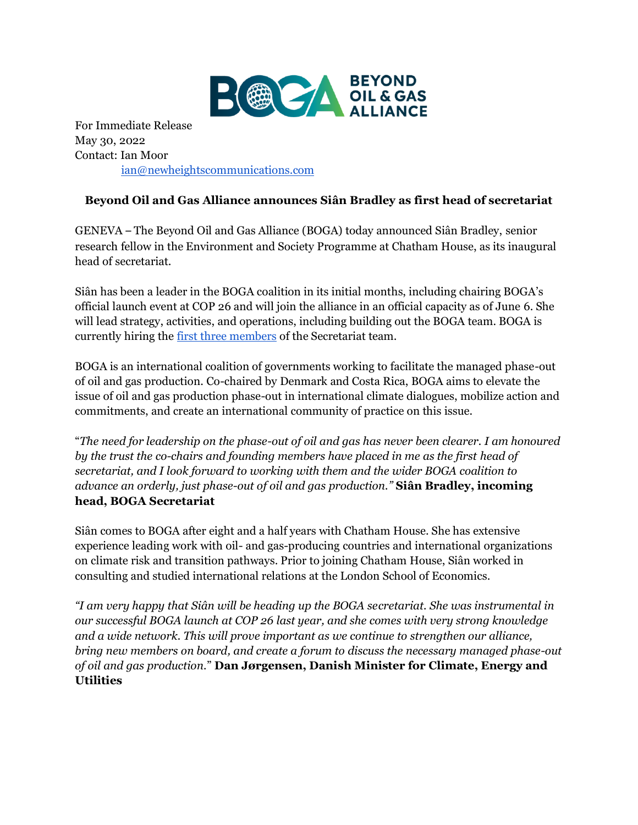

For Immediate Release May 30, 2022 Contact: Ian Moor [ian@newheightscommunications.com](mailto:ian@newheightscommunications.com)

## **Beyond Oil and Gas Alliance announces Siân Bradley as first head of secretariat**

GENEVA – The Beyond Oil and Gas Alliance (BOGA) today announced Siân Bradley, senior research fellow in the Environment and Society Programme at Chatham House, as its inaugural head of secretariat.

Siân has been a leader in the BOGA coalition in its initial months, including chairing BOGA's official launch event at COP 26 and will join the alliance in an official capacity as of June 6. She will lead strategy, activities, and operations, including building out the BOGA team. BOGA is currently hiring th[e first three members](https://beyondoilandgasalliance.com/work-with-us/) of the Secretariat team.

BOGA is an international coalition of governments working to facilitate the managed phase-out of oil and gas production. Co-chaired by Denmark and Costa Rica, BOGA aims to elevate the issue of oil and gas production phase-out in international climate dialogues, mobilize action and commitments, and create an international community of practice on this issue.

"*The need for leadership on the phase-out of oil and gas has never been clearer. I am honoured by the trust the co-chairs and founding members have placed in me as the first head of secretariat, and I look forward to working with them and the wider BOGA coalition to advance an orderly, just phase-out of oil and gas production."* **Siân Bradley, incoming head, BOGA Secretariat**

Siân comes to BOGA after eight and a half years with Chatham House. She has extensive experience leading work with oil- and gas-producing countries and international organizations on climate risk and transition pathways. Prior to joining Chatham House, Siân worked in consulting and studied international relations at the London School of Economics.

*"I am very happy that Siân will be heading up the BOGA secretariat. She was instrumental in our successful BOGA launch at COP 26 last year, and she comes with very strong knowledge and a wide network. This will prove important as we continue to strengthen our alliance, bring new members on board, and create a forum to discuss the necessary managed phase-out of oil and gas production.*" **Dan Jørgensen, Danish Minister for Climate, Energy and Utilities**